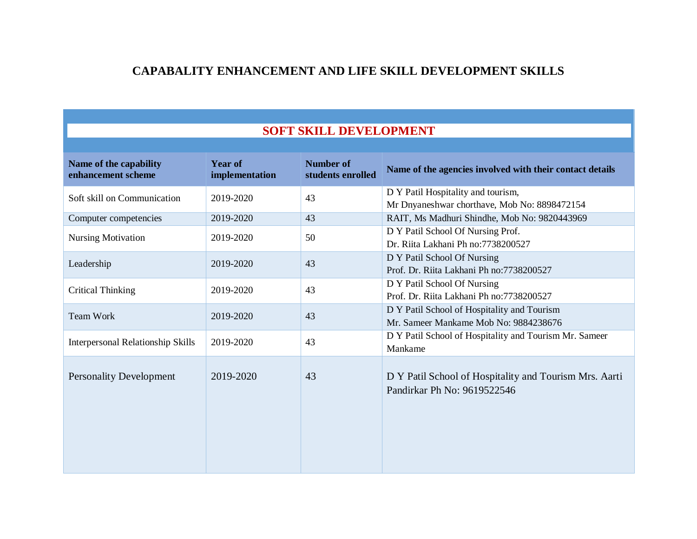## **CAPABALITY ENHANCEMENT AND LIFE SKILL DEVELOPMENT SKILLS**

## **SOFT SKILL DEVELOPMENT**

| Name of the capability<br>enhancement scheme | <b>Year of</b><br>implementation | <b>Number of</b><br>students enrolled | Name of the agencies involved with their contact details                              |
|----------------------------------------------|----------------------------------|---------------------------------------|---------------------------------------------------------------------------------------|
| Soft skill on Communication                  | 2019-2020                        | 43                                    | D Y Patil Hospitality and tourism,<br>Mr Dnyaneshwar chorthave, Mob No: 8898472154    |
| Computer competencies                        | 2019-2020                        | 43                                    | RAIT, Ms Madhuri Shindhe, Mob No: 9820443969                                          |
| <b>Nursing Motivation</b>                    | 2019-2020                        | 50                                    | D Y Patil School Of Nursing Prof.<br>Dr. Riita Lakhani Ph no: 7738200527              |
| Leadership                                   | 2019-2020                        | 43                                    | D Y Patil School Of Nursing<br>Prof. Dr. Riita Lakhani Ph no: 7738200527              |
| <b>Critical Thinking</b>                     | 2019-2020                        | 43                                    | D Y Patil School Of Nursing<br>Prof. Dr. Riita Lakhani Ph no: 7738200527              |
| <b>Team Work</b>                             | 2019-2020                        | 43                                    | D Y Patil School of Hospitality and Tourism<br>Mr. Sameer Mankame Mob No: 9884238676  |
| <b>Interpersonal Relationship Skills</b>     | 2019-2020                        | 43                                    | D Y Patil School of Hospitality and Tourism Mr. Sameer<br>Mankame                     |
| <b>Personality Development</b>               | 2019-2020                        | 43                                    | D Y Patil School of Hospitality and Tourism Mrs. Aarti<br>Pandirkar Ph No: 9619522546 |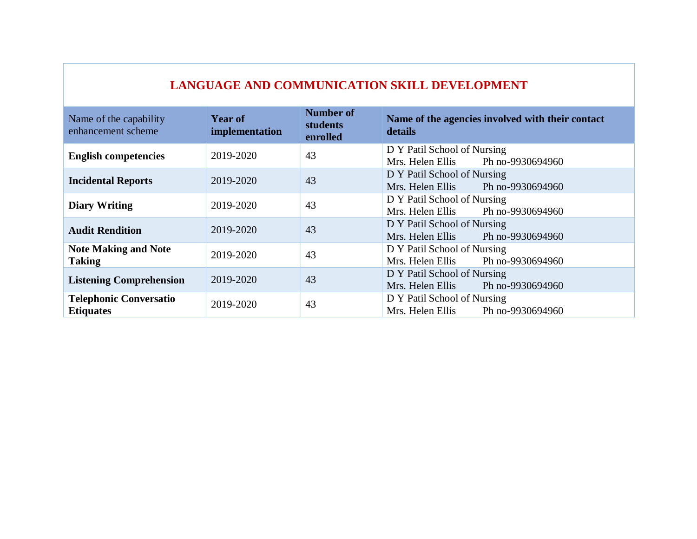| LANGUAGE AND COMMUNICATION SKILL DEVELOPMENT      |                                  |                                                 |                                                                     |
|---------------------------------------------------|----------------------------------|-------------------------------------------------|---------------------------------------------------------------------|
| Name of the capability<br>enhancement scheme      | <b>Year of</b><br>implementation | <b>Number of</b><br><b>students</b><br>enrolled | Name of the agencies involved with their contact<br>details         |
| <b>English competencies</b>                       | 2019-2020                        | 43                                              | D Y Patil School of Nursing<br>Mrs. Helen Ellis<br>Ph no-9930694960 |
| <b>Incidental Reports</b>                         | 2019-2020                        | 43                                              | D Y Patil School of Nursing<br>Mrs. Helen Ellis<br>Ph no-9930694960 |
| <b>Diary Writing</b>                              | 2019-2020                        | 43                                              | D Y Patil School of Nursing<br>Ph no-9930694960<br>Mrs. Helen Ellis |
| <b>Audit Rendition</b>                            | 2019-2020                        | 43                                              | D Y Patil School of Nursing<br>Mrs. Helen Ellis<br>Ph no-9930694960 |
| <b>Note Making and Note</b><br><b>Taking</b>      | 2019-2020                        | 43                                              | D Y Patil School of Nursing<br>Mrs. Helen Ellis<br>Ph no-9930694960 |
| <b>Listening Comprehension</b>                    | 2019-2020                        | 43                                              | D Y Patil School of Nursing<br>Mrs. Helen Ellis<br>Ph no-9930694960 |
| <b>Telephonic Conversatio</b><br><b>Etiquates</b> | 2019-2020                        | 43                                              | D Y Patil School of Nursing<br>Mrs. Helen Ellis<br>Ph no-9930694960 |

## **LANGUAGE AND COMMUNICATION SKILL DEVELOPMENT**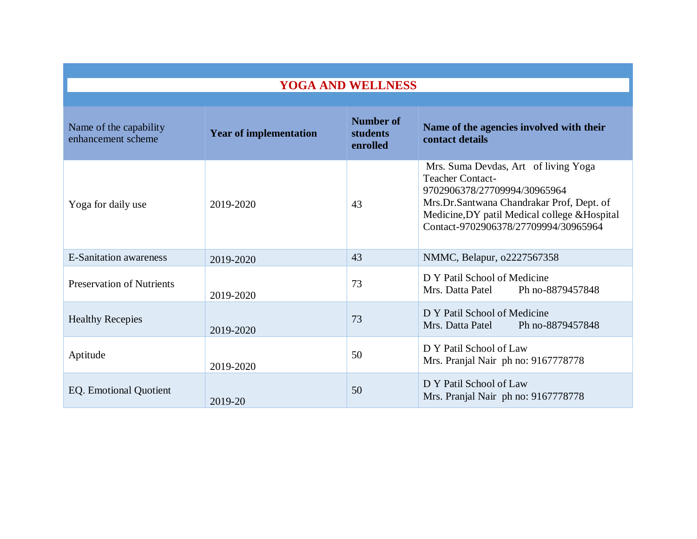| <b>YOGA AND WELLNESS</b>                     |                               |                                          |                                                                                                                                                                                                                                       |  |
|----------------------------------------------|-------------------------------|------------------------------------------|---------------------------------------------------------------------------------------------------------------------------------------------------------------------------------------------------------------------------------------|--|
|                                              |                               |                                          |                                                                                                                                                                                                                                       |  |
| Name of the capability<br>enhancement scheme | <b>Year of implementation</b> | <b>Number of</b><br>students<br>enrolled | Name of the agencies involved with their<br>contact details                                                                                                                                                                           |  |
| Yoga for daily use                           | 2019-2020                     | 43                                       | Mrs. Suma Devdas, Art of living Yoga<br><b>Teacher Contact-</b><br>9702906378/27709994/30965964<br>Mrs.Dr.Santwana Chandrakar Prof, Dept. of<br>Medicine, DY patil Medical college & Hospital<br>Contact-9702906378/27709994/30965964 |  |
| <b>E-Sanitation awareness</b>                | 2019-2020                     | 43                                       | NMMC, Belapur, 02227567358                                                                                                                                                                                                            |  |
| <b>Preservation of Nutrients</b>             | 2019-2020                     | 73                                       | D Y Patil School of Medicine<br>Mrs. Datta Patel Ph no-8879457848                                                                                                                                                                     |  |
| <b>Healthy Recepies</b>                      | 2019-2020                     | 73                                       | D Y Patil School of Medicine<br>Mrs. Datta Patel<br>Ph no-8879457848                                                                                                                                                                  |  |
| Aptitude                                     | 2019-2020                     | 50                                       | D Y Patil School of Law<br>Mrs. Pranjal Nair ph no: 9167778778                                                                                                                                                                        |  |
| <b>EQ.</b> Emotional Quotient                | 2019-20                       | 50                                       | D Y Patil School of Law<br>Mrs. Pranjal Nair ph no: 9167778778                                                                                                                                                                        |  |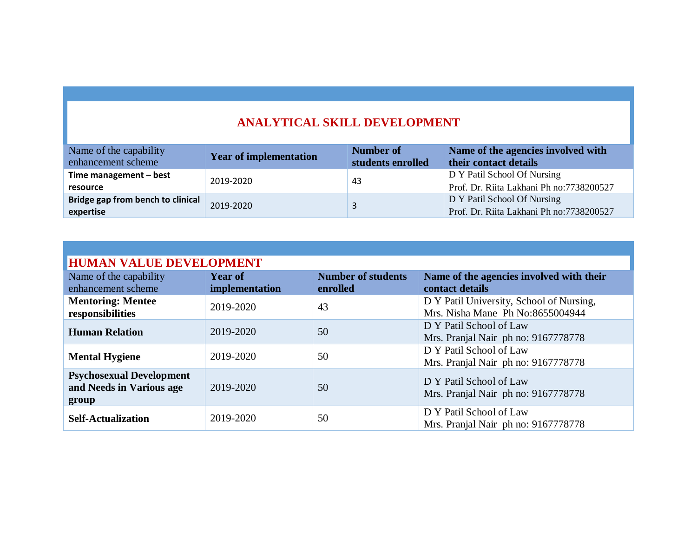## **ANALYTICAL SKILL DEVELOPMENT**

| Name of the capability<br>enhancement scheme   | <b>Year of implementation</b> | Number of<br>students enrolled | Name of the agencies involved with<br>their contact details              |
|------------------------------------------------|-------------------------------|--------------------------------|--------------------------------------------------------------------------|
| Time management $-$ best<br>resource           | 2019-2020                     | -43                            | D Y Patil School Of Nursing<br>Prof. Dr. Riita Lakhani Ph no: 7738200527 |
| Bridge gap from bench to clinical<br>expertise | 2019-2020                     | 3                              | D Y Patil School Of Nursing<br>Prof. Dr. Riita Lakhani Ph no: 7738200527 |

| <b>HUMAN VALUE DEVELOPMENT</b>                                       |                                  |                                       |                                                                              |  |
|----------------------------------------------------------------------|----------------------------------|---------------------------------------|------------------------------------------------------------------------------|--|
| Name of the capability<br>enhancement scheme                         | <b>Year of</b><br>implementation | <b>Number of students</b><br>enrolled | Name of the agencies involved with their<br>contact details                  |  |
| <b>Mentoring: Mentee</b><br>responsibilities                         | 2019-2020                        | 43                                    | D Y Patil University, School of Nursing,<br>Mrs. Nisha Mane Ph No:8655004944 |  |
| <b>Human Relation</b>                                                | 2019-2020                        | 50                                    | D Y Patil School of Law<br>Mrs. Pranjal Nair ph no: 9167778778               |  |
| <b>Mental Hygiene</b>                                                | 2019-2020                        | 50                                    | D Y Patil School of Law<br>Mrs. Pranjal Nair ph no: 9167778778               |  |
| <b>Psychosexual Development</b><br>and Needs in Various age<br>group | 2019-2020                        | 50                                    | D Y Patil School of Law<br>Mrs. Pranjal Nair ph no: 9167778778               |  |
| <b>Self-Actualization</b>                                            | 2019-2020                        | 50                                    | D Y Patil School of Law<br>Mrs. Pranjal Nair ph no: 9167778778               |  |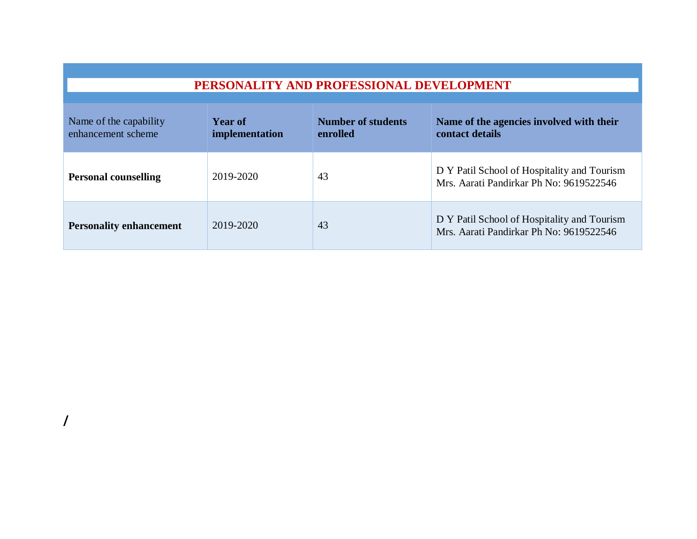| PERSONALITY AND PROFESSIONAL DEVELOPMENT     |                                  |                                       |                                                                                        |  |
|----------------------------------------------|----------------------------------|---------------------------------------|----------------------------------------------------------------------------------------|--|
| Name of the capability<br>enhancement scheme | <b>Year of</b><br>implementation | <b>Number of students</b><br>enrolled | Name of the agencies involved with their<br>contact details                            |  |
| <b>Personal counselling</b>                  | 2019-2020                        | 43                                    | D Y Patil School of Hospitality and Tourism<br>Mrs. Aarati Pandirkar Ph No: 9619522546 |  |
| <b>Personality enhancement</b>               | 2019-2020                        | 43                                    | D Y Patil School of Hospitality and Tourism<br>Mrs. Aarati Pandirkar Ph No: 9619522546 |  |

**/**